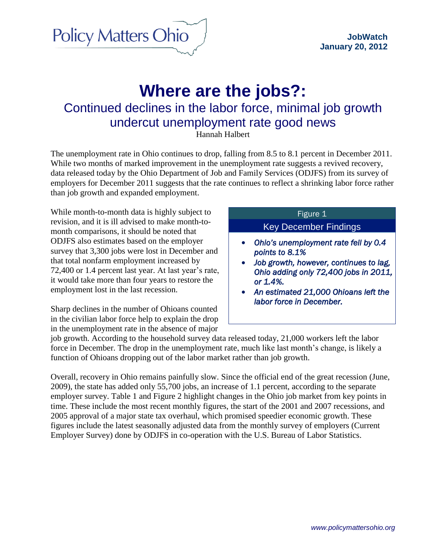**Policy Matters Ohio** 

# **Where are the jobs?:** Continued declines in the labor force, minimal job growth undercut unemployment rate good news

Hannah Halbert

The unemployment rate in Ohio continues to drop, falling from 8.5 to 8.1 percent in December 2011. While two months of marked improvement in the unemployment rate suggests a revived recovery, data released today by the Ohio Department of Job and Family Services (ODJFS) from its survey of employers for December 2011 suggests that the rate continues to reflect a shrinking labor force rather than job growth and expanded employment.

While month-to-month data is highly subject to revision, and it is ill advised to make month-tomonth comparisons, it should be noted that ODJFS also estimates based on the employer survey that 3,300 jobs were lost in December and that total nonfarm employment increased by 72,400 or 1.4 percent last year. At last year's rate, it would take more than four years to restore the employment lost in the last recession.

Sharp declines in the number of Ohioans counted in the civilian labor force help to explain the drop in the unemployment rate in the absence of major

## Figure 1

#### Key December Findings

- *Ohio's unemployment rate fell by 0.4 points to 8.1%*
- *Job growth, however, continues to lag, Ohio adding only 72,400 jobs in 2011, or 1.4%.*
- *An estimated 21,000 Ohioans left the labor force in December.*

job growth. According to the household survey data released today, 21,000 workers left the labor force in December. The drop in the unemployment rate, much like last month's change, is likely a function of Ohioans dropping out of the labor market rather than job growth.

Overall, recovery in Ohio remains painfully slow. Since the official end of the great recession (June, 2009), the state has added only 55,700 jobs, an increase of 1.1 percent, according to the separate employer survey. Table 1 and Figure 2 highlight changes in the Ohio job market from key points in time. These include the most recent monthly figures, the start of the 2001 and 2007 recessions, and 2005 approval of a major state tax overhaul, which promised speedier economic growth. These figures include the latest seasonally adjusted data from the monthly survey of employers (Current Employer Survey) done by ODJFS in co-operation with the U.S. Bureau of Labor Statistics.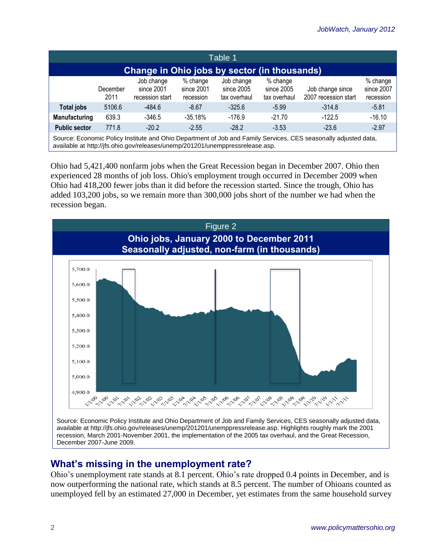| Table 1                                                                                                                                                                                          |                  |                                             |                                       |                                          |                                        |                                          |                                     |  |  |
|--------------------------------------------------------------------------------------------------------------------------------------------------------------------------------------------------|------------------|---------------------------------------------|---------------------------------------|------------------------------------------|----------------------------------------|------------------------------------------|-------------------------------------|--|--|
| Change in Ohio jobs by sector (in thousands)                                                                                                                                                     |                  |                                             |                                       |                                          |                                        |                                          |                                     |  |  |
|                                                                                                                                                                                                  | December<br>2011 | Job change<br>since 2001<br>recession start | $%$ change<br>since 2001<br>recession | Job change<br>since 2005<br>tax overhaul | % change<br>since 2005<br>tax overhaul | Job change since<br>2007 recession start | % change<br>since 2007<br>recession |  |  |
| Total jobs                                                                                                                                                                                       | 5106.6           | $-484.6$                                    | $-8.67$                               | $-325.6$                                 | $-5.99$                                | $-314.8$                                 | $-5.81$                             |  |  |
| Manufacturing                                                                                                                                                                                    | 639.3            | $-346.5$                                    | $-35.18%$                             | $-176.9$                                 | $-21.70$                               | $-122.5$                                 | $-16.10$                            |  |  |
| <b>Public sector</b>                                                                                                                                                                             | 771.8            | $-20.2$                                     | $-2.55$                               | $-28.2$                                  | $-3.53$                                | $-23.6$                                  | $-2.97$                             |  |  |
| Source: Economic Policy Institute and Ohio Department of Job and Family Services, CES seasonally adjusted data,<br>available at http://jfs.ohio.gov/releases/unemp/201201/unemppressrelease.asp. |                  |                                             |                                       |                                          |                                        |                                          |                                     |  |  |

Ohio had 5,421,400 nonfarm jobs when the Great Recession began in December 2007. Ohio then experienced 28 months of job loss. Ohio's employment trough occurred in December 2009 when Ohio had 418,200 fewer jobs than it did before the recession started. Since the trough, Ohio has added 103,200 jobs, so we remain more than 300,000 jobs short of the number we had when the recession began.



## **What's missing in the unemployment rate?**

Ohio's unemployment rate stands at 8.1 percent. Ohio's rate dropped 0.4 points in December, and is now outperforming the national rate, which stands at 8.5 percent. The number of Ohioans counted as unemployed fell by an estimated 27,000 in December, yet estimates from the same household survey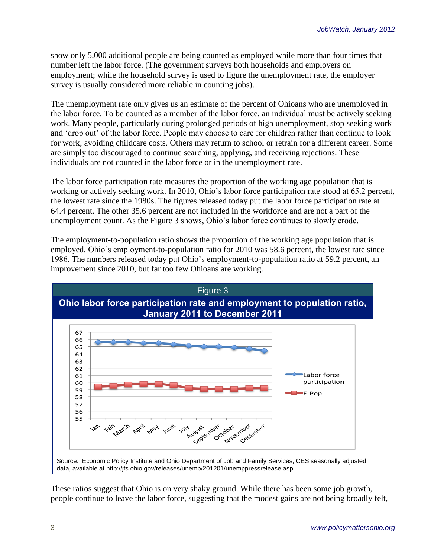show only 5,000 additional people are being counted as employed while more than four times that number left the labor force. (The government surveys both households and employers on employment; while the household survey is used to figure the unemployment rate, the employer survey is usually considered more reliable in counting jobs).

The unemployment rate only gives us an estimate of the percent of Ohioans who are unemployed in the labor force. To be counted as a member of the labor force, an individual must be actively seeking work. Many people, particularly during prolonged periods of high unemployment, stop seeking work and 'drop out' of the labor force. People may choose to care for children rather than continue to look for work, avoiding childcare costs. Others may return to school or retrain for a different career. Some are simply too discouraged to continue searching, applying, and receiving rejections. These individuals are not counted in the labor force or in the unemployment rate.

The labor force participation rate measures the proportion of the working age population that is working or actively seeking work. In 2010, Ohio's labor force participation rate stood at 65.2 percent, the lowest rate since the 1980s. The figures released today put the labor force participation rate at 64.4 percent. The other 35.6 percent are not included in the workforce and are not a part of the unemployment count. As the Figure 3 shows, Ohio's labor force continues to slowly erode.

The employment-to-population ratio shows the proportion of the working age population that is employed. Ohio's employment-to-population ratio for 2010 was 58.6 percent, the lowest rate since 1986. The numbers released today put Ohio's employment-to-population ratio at 59.2 percent, an improvement since 2010, but far too few Ohioans are working.



These ratios suggest that Ohio is on very shaky ground. While there has been some job growth, people continue to leave the labor force, suggesting that the modest gains are not being broadly felt,